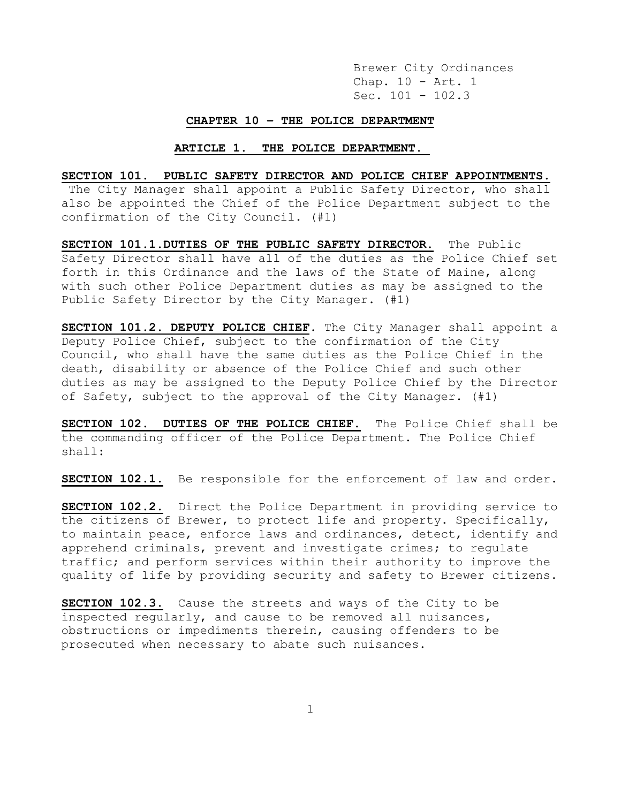#### **CHAPTER 10 – THE POLICE DEPARTMENT**

#### **ARTICLE 1. THE POLICE DEPARTMENT.**

### **SECTION 101. PUBLIC SAFETY DIRECTOR AND POLICE CHIEF APPOINTMENTS.**

The City Manager shall appoint a Public Safety Director, who shall also be appointed the Chief of the Police Department subject to the confirmation of the City Council. (#1)

**SECTION 101.1.DUTIES OF THE PUBLIC SAFETY DIRECTOR.** The Public Safety Director shall have all of the duties as the Police Chief set forth in this Ordinance and the laws of the State of Maine, along with such other Police Department duties as may be assigned to the Public Safety Director by the City Manager. (#1)

**SECTION 101.2. DEPUTY POLICE CHIEF**. The City Manager shall appoint a Deputy Police Chief, subject to the confirmation of the City Council, who shall have the same duties as the Police Chief in the death, disability or absence of the Police Chief and such other duties as may be assigned to the Deputy Police Chief by the Director of Safety, subject to the approval of the City Manager. (#1)

**SECTION 102. DUTIES OF THE POLICE CHIEF.** The Police Chief shall be the commanding officer of the Police Department. The Police Chief shall:

**SECTION 102.1.** Be responsible for the enforcement of law and order.

**SECTION 102.2.** Direct the Police Department in providing service to the citizens of Brewer, to protect life and property. Specifically, to maintain peace, enforce laws and ordinances, detect, identify and apprehend criminals, prevent and investigate crimes; to regulate traffic; and perform services within their authority to improve the quality of life by providing security and safety to Brewer citizens.

**SECTION 102.3.** Cause the streets and ways of the City to be inspected regularly, and cause to be removed all nuisances, obstructions or impediments therein, causing offenders to be prosecuted when necessary to abate such nuisances.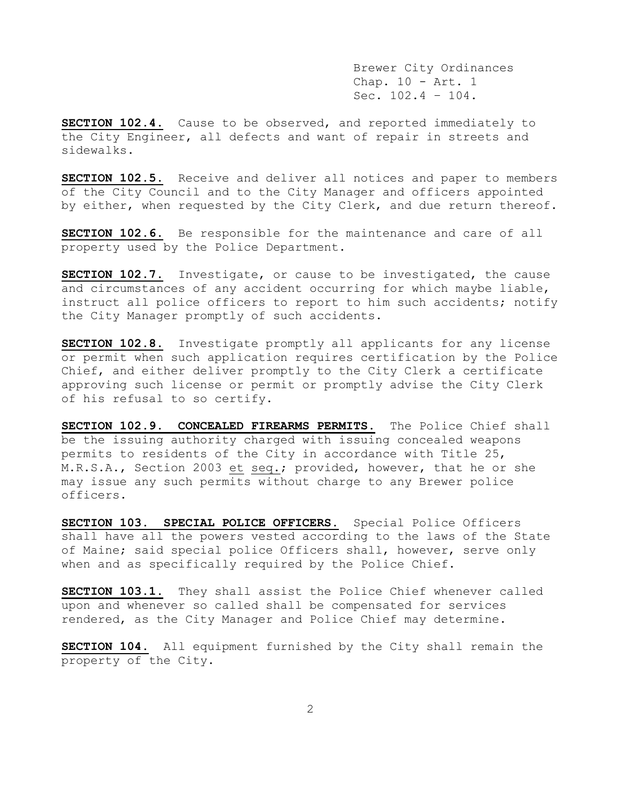**SECTION 102.4.** Cause to be observed, and reported immediately to the City Engineer, all defects and want of repair in streets and sidewalks.

**SECTION 102.5.** Receive and deliver all notices and paper to members of the City Council and to the City Manager and officers appointed by either, when requested by the City Clerk, and due return thereof.

**SECTION 102.6.** Be responsible for the maintenance and care of all property used by the Police Department.

**SECTION 102.7.** Investigate, or cause to be investigated, the cause and circumstances of any accident occurring for which maybe liable, instruct all police officers to report to him such accidents; notify the City Manager promptly of such accidents.

**SECTION 102.8.** Investigate promptly all applicants for any license or permit when such application requires certification by the Police Chief, and either deliver promptly to the City Clerk a certificate approving such license or permit or promptly advise the City Clerk of his refusal to so certify.

**SECTION 102.9. CONCEALED FIREARMS PERMITS.** The Police Chief shall be the issuing authority charged with issuing concealed weapons permits to residents of the City in accordance with Title 25, M.R.S.A., Section 2003 et seq.; provided, however, that he or she may issue any such permits without charge to any Brewer police officers.

**SECTION 103. SPECIAL POLICE OFFICERS.** Special Police Officers shall have all the powers vested according to the laws of the State of Maine; said special police Officers shall, however, serve only when and as specifically required by the Police Chief.

**SECTION 103.1.** They shall assist the Police Chief whenever called upon and whenever so called shall be compensated for services rendered, as the City Manager and Police Chief may determine.

**SECTION 104.** All equipment furnished by the City shall remain the property of the City.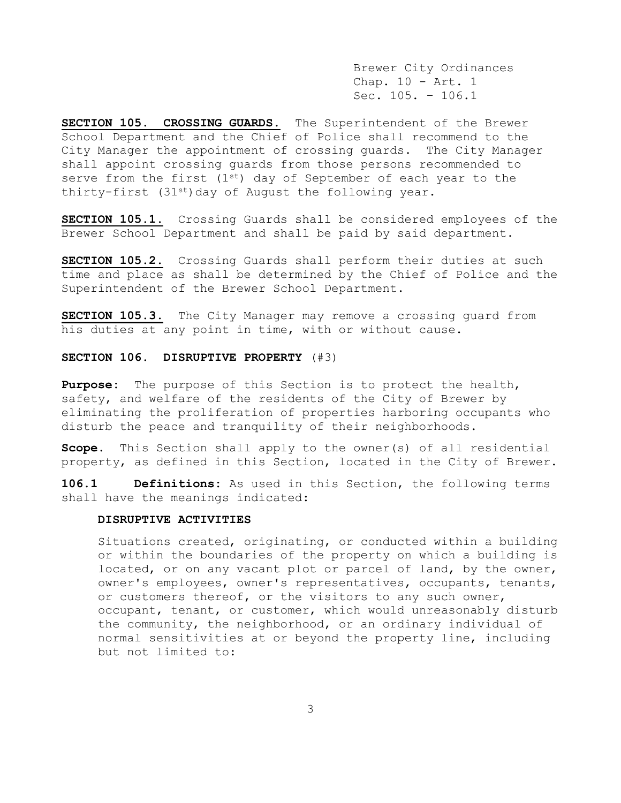**SECTION 105. CROSSING GUARDS.** The Superintendent of the Brewer School Department and the Chief of Police shall recommend to the City Manager the appointment of crossing guards. The City Manager shall appoint crossing guards from those persons recommended to serve from the first  $(1^{st})$  day of September of each year to the thirty-first  $(31^{st})$  day of August the following year.

**SECTION 105.1.** Crossing Guards shall be considered employees of the Brewer School Department and shall be paid by said department.

**SECTION 105.2.** Crossing Guards shall perform their duties at such time and place as shall be determined by the Chief of Police and the Superintendent of the Brewer School Department.

**SECTION 105.3.** The City Manager may remove a crossing guard from his duties at any point in time, with or without cause.

### **SECTION 106. DISRUPTIVE PROPERTY** (#3)

**Purpose:** The purpose of this Section is to protect the health, safety, and welfare of the residents of the City of Brewer by eliminating the proliferation of properties harboring occupants who disturb the peace and tranquility of their neighborhoods.

**Scope.** This Section shall apply to the owner(s) of all residential property, as defined in this Section, located in the City of Brewer.

**106.1 Definitions:** As used in this Section, the following terms shall have the meanings indicated:

### **DISRUPTIVE ACTIVITIES**

Situations created, originating, or conducted within a building or within the boundaries of the property on which a building is located, or on any vacant plot or parcel of land, by the owner, owner's employees, owner's representatives, occupants, tenants, or customers thereof, or the visitors to any such owner, occupant, tenant, or customer, which would unreasonably disturb the community, the neighborhood, or an ordinary individual of normal sensitivities at or beyond the property line, including but not limited to: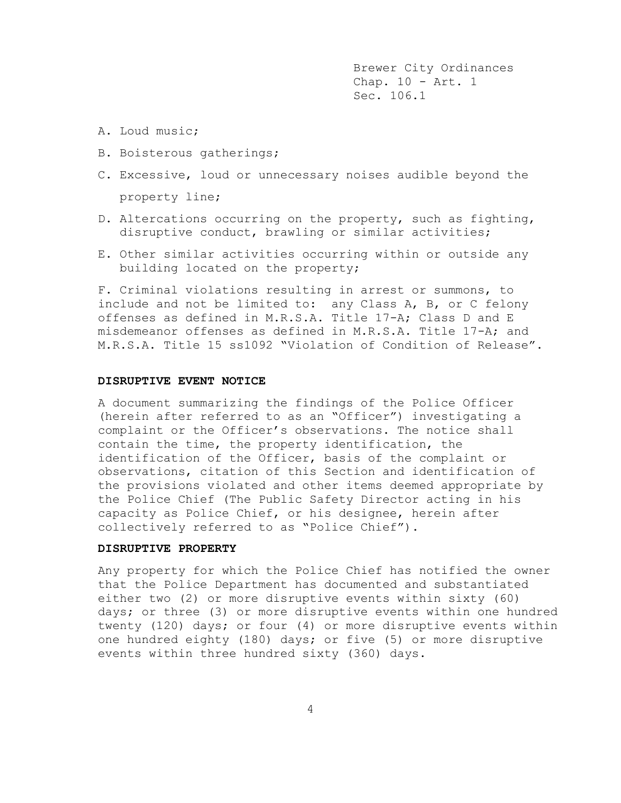- A. Loud music;
- B. Boisterous gatherings;
- C. Excessive, loud or unnecessary noises audible beyond the property line;
- D. Altercations occurring on the property, such as fighting, disruptive conduct, brawling or similar activities;
- E. Other similar activities occurring within or outside any building located on the property;

F. Criminal violations resulting in arrest or summons, to include and not be limited to: any Class A, B, or C felony offenses as defined in M.R.S.A. Title 17-A; Class D and E misdemeanor offenses as defined in M.R.S.A. Title 17-A; and M.R.S.A. Title 15 ss1092 "Violation of Condition of Release".

### **DISRUPTIVE EVENT NOTICE**

A document summarizing the findings of the Police Officer (herein after referred to as an "Officer") investigating a complaint or the Officer's observations. The notice shall contain the time, the property identification, the identification of the Officer, basis of the complaint or observations, citation of this Section and identification of the provisions violated and other items deemed appropriate by the Police Chief (The Public Safety Director acting in his capacity as Police Chief, or his designee, herein after collectively referred to as "Police Chief").

### **DISRUPTIVE PROPERTY**

Any property for which the Police Chief has notified the owner that the Police Department has documented and substantiated either two (2) or more disruptive events within sixty (60) days; or three (3) or more disruptive events within one hundred twenty (120) days; or four (4) or more disruptive events within one hundred eighty (180) days; or five (5) or more disruptive events within three hundred sixty (360) days.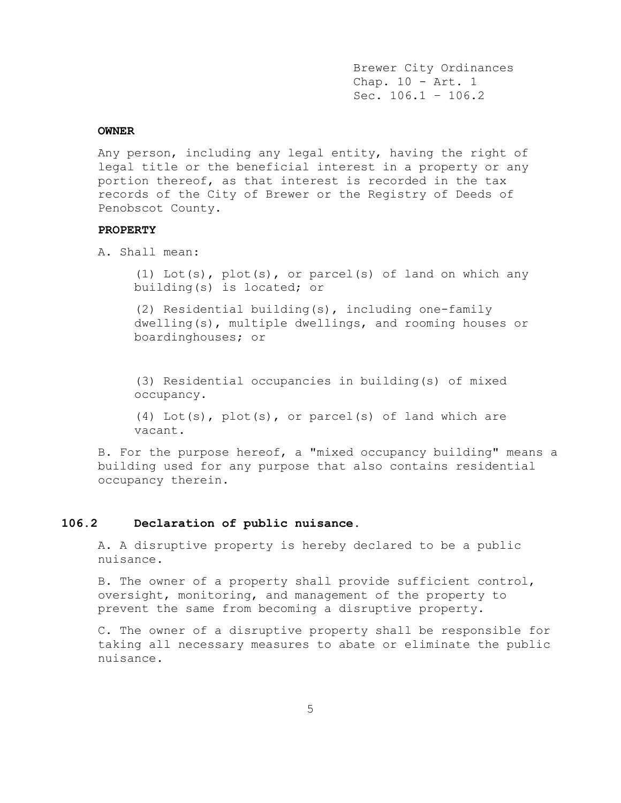### **OWNER**

Any person, including any legal entity, having the right of legal title or the beneficial interest in a property or any portion thereof, as that interest is recorded in the tax records of the City of Brewer or the Registry of Deeds of Penobscot County.

### **PROPERTY**

A. Shall mean:

(1) Lot(s), plot(s), or parcel(s) of land on which any building(s) is located; or

(2) Residential building(s), including one-family dwelling(s), multiple dwellings, and rooming houses or boardinghouses; or

(3) Residential occupancies in building(s) of mixed occupancy.

(4) Lot(s), plot(s), or parcel(s) of land which are vacant.

B. For the purpose hereof, a "mixed occupancy building" means a building used for any purpose that also contains residential occupancy therein.

### **106.2 Declaration of public nuisance.**

A. A disruptive property is hereby declared to be a public nuisance.

B. The owner of a property shall provide sufficient control, oversight, monitoring, and management of the property to prevent the same from becoming a disruptive property.

C. The owner of a disruptive property shall be responsible for taking all necessary measures to abate or eliminate the public nuisance.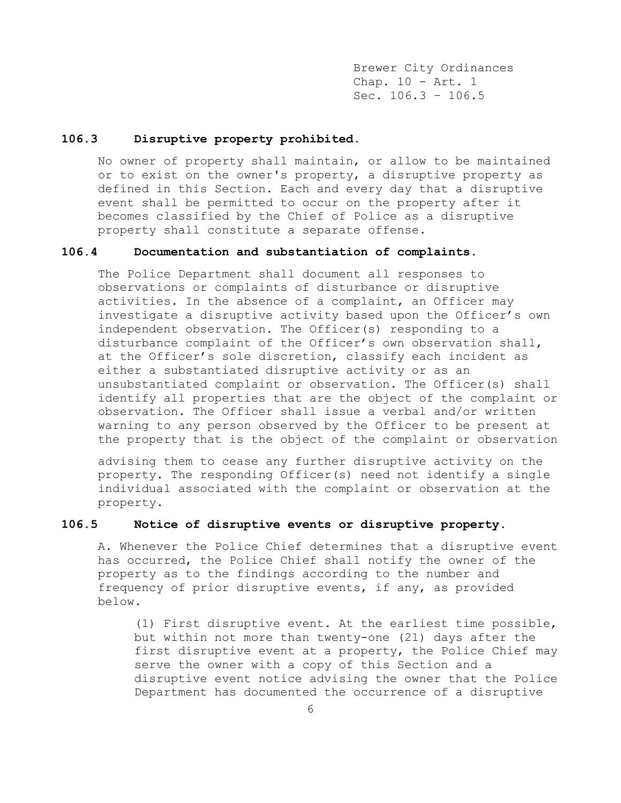### **106.3 Disruptive property prohibited.**

No owner of property shall maintain, or allow to be maintained or to exist on the owner's property, a disruptive property as defined in this Section. Each and every day that a disruptive event shall be permitted to occur on the property after it becomes classified by the Chief of Police as a disruptive property shall constitute a separate offense.

## **106.4 Documentation and substantiation of complaints.**

The Police Department shall document all responses to observations or complaints of disturbance or disruptive activities. In the absence of a complaint, an Officer may investigate a disruptive activity based upon the Officer's own independent observation. The Officer(s) responding to a disturbance complaint of the Officer's own observation shall, at the Officer's sole discretion, classify each incident as either a substantiated disruptive activity or as an unsubstantiated complaint or observation. The Officer(s) shall identify all properties that are the object of the complaint or observation. The Officer shall issue a verbal and/or written warning to any person observed by the Officer to be present at the property that is the object of the complaint or observation

advising them to cease any further disruptive activity on the property. The responding Officer(s) need not identify a single individual associated with the complaint or observation at the property.

# **106.5 Notice of disruptive events or disruptive property.**

A. Whenever the Police Chief determines that a disruptive event has occurred, the Police Chief shall notify the owner of the property as to the findings according to the number and frequency of prior disruptive events, if any, as provided below.

(1) First disruptive event. At the earliest time possible, but within not more than twenty-one (21) days after the first disruptive event at a property, the Police Chief may serve the owner with a copy of this Section and a disruptive event notice advising the owner that the Police Department has documented the occurrence of a disruptive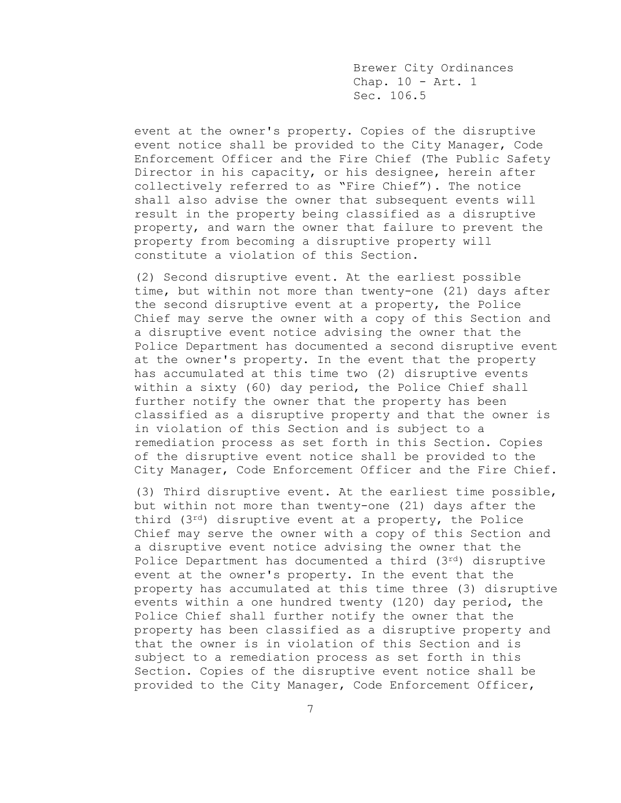event at the owner's property. Copies of the disruptive event notice shall be provided to the City Manager, Code Enforcement Officer and the Fire Chief (The Public Safety Director in his capacity, or his designee, herein after collectively referred to as "Fire Chief"). The notice shall also advise the owner that subsequent events will result in the property being classified as a disruptive property, and warn the owner that failure to prevent the property from becoming a disruptive property will constitute a violation of this Section.

(2) Second disruptive event. At the earliest possible time, but within not more than twenty-one (21) days after the second disruptive event at a property, the Police Chief may serve the owner with a copy of this Section and a disruptive event notice advising the owner that the Police Department has documented a second disruptive event at the owner's property. In the event that the property has accumulated at this time two (2) disruptive events within a sixty (60) day period, the Police Chief shall further notify the owner that the property has been classified as a disruptive property and that the owner is in violation of this Section and is subject to a remediation process as set forth in this Section. Copies of the disruptive event notice shall be provided to the City Manager, Code Enforcement Officer and the Fire Chief.

(3) Third disruptive event. At the earliest time possible, but within not more than twenty-one (21) days after the third (3rd) disruptive event at a property, the Police Chief may serve the owner with a copy of this Section and a disruptive event notice advising the owner that the Police Department has documented a third (3rd) disruptive event at the owner's property. In the event that the property has accumulated at this time three (3) disruptive events within a one hundred twenty (120) day period, the Police Chief shall further notify the owner that the property has been classified as a disruptive property and that the owner is in violation of this Section and is subject to a remediation process as set forth in this Section. Copies of the disruptive event notice shall be provided to the City Manager, Code Enforcement Officer,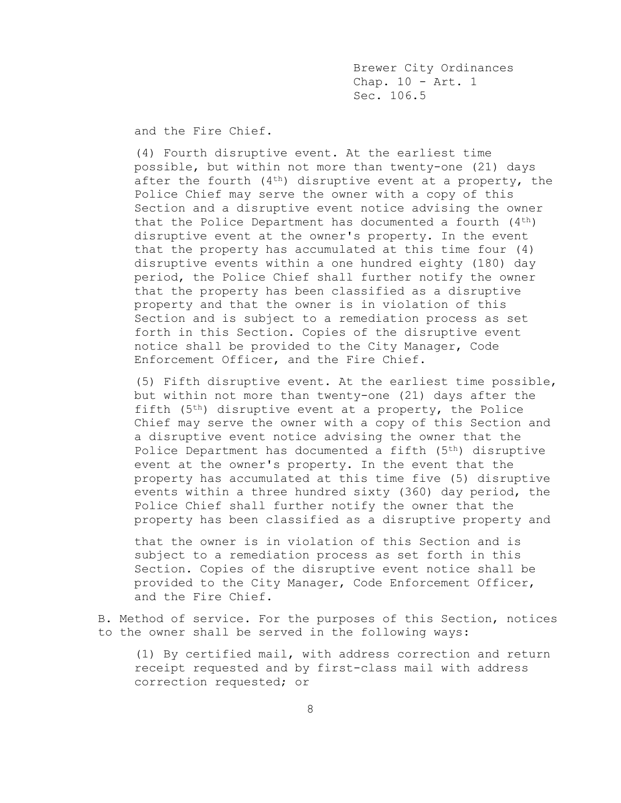and the Fire Chief.

(4) Fourth disruptive event. At the earliest time possible, but within not more than twenty-one (21) days after the fourth  $(4<sup>th</sup>)$  disruptive event at a property, the Police Chief may serve the owner with a copy of this Section and a disruptive event notice advising the owner that the Police Department has documented a fourth  $(4^{th})$ disruptive event at the owner's property. In the event that the property has accumulated at this time four (4) disruptive events within a one hundred eighty (180) day period, the Police Chief shall further notify the owner that the property has been classified as a disruptive property and that the owner is in violation of this Section and is subject to a remediation process as set forth in this Section. Copies of the disruptive event notice shall be provided to the City Manager, Code Enforcement Officer, and the Fire Chief.

(5) Fifth disruptive event. At the earliest time possible, but within not more than twenty-one (21) days after the fifth (5th) disruptive event at a property, the Police Chief may serve the owner with a copy of this Section and a disruptive event notice advising the owner that the Police Department has documented a fifth (5th) disruptive event at the owner's property. In the event that the property has accumulated at this time five (5) disruptive events within a three hundred sixty (360) day period, the Police Chief shall further notify the owner that the property has been classified as a disruptive property and

that the owner is in violation of this Section and is subject to a remediation process as set forth in this Section. Copies of the disruptive event notice shall be provided to the City Manager, Code Enforcement Officer, and the Fire Chief.

B. Method of service. For the purposes of this Section, notices to the owner shall be served in the following ways:

(1) By certified mail, with address correction and return receipt requested and by first-class mail with address correction requested; or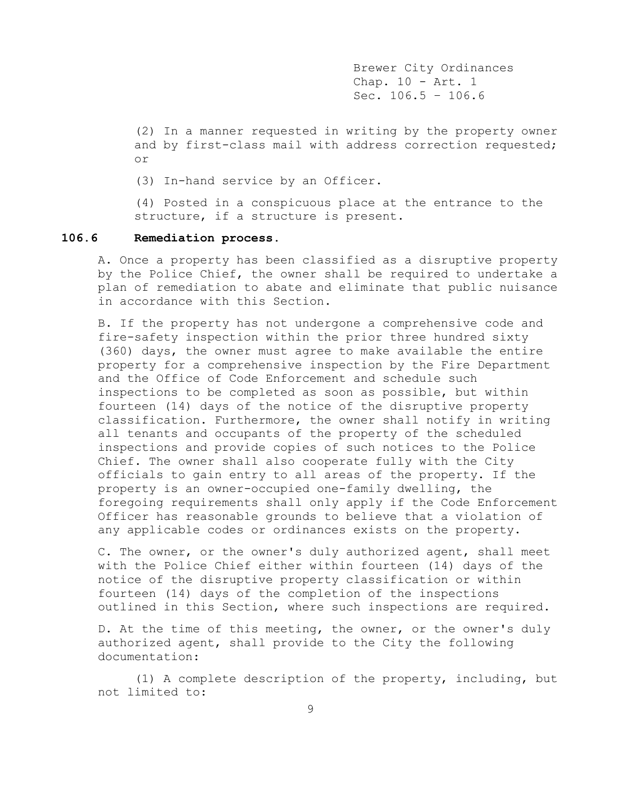(2) In a manner requested in writing by the property owner and by first-class mail with address correction requested; or

(3) In-hand service by an Officer.

(4) Posted in a conspicuous place at the entrance to the structure, if a structure is present.

### **106.6 Remediation process.**

A. Once a property has been classified as a disruptive property by the Police Chief, the owner shall be required to undertake a plan of remediation to abate and eliminate that public nuisance in accordance with this Section.

B. If the property has not undergone a comprehensive code and fire-safety inspection within the prior three hundred sixty (360) days, the owner must agree to make available the entire property for a comprehensive inspection by the Fire Department and the Office of Code Enforcement and schedule such inspections to be completed as soon as possible, but within fourteen (14) days of the notice of the disruptive property classification. Furthermore, the owner shall notify in writing all tenants and occupants of the property of the scheduled inspections and provide copies of such notices to the Police Chief. The owner shall also cooperate fully with the City officials to gain entry to all areas of the property. If the property is an owner-occupied one-family dwelling, the foregoing requirements shall only apply if the Code Enforcement Officer has reasonable grounds to believe that a violation of any applicable codes or ordinances exists on the property.

C. The owner, or the owner's duly authorized agent, shall meet with the Police Chief either within fourteen (14) days of the notice of the disruptive property classification or within fourteen (14) days of the completion of the inspections outlined in this Section, where such inspections are required.

D. At the time of this meeting, the owner, or the owner's duly authorized agent, shall provide to the City the following documentation:

(1) A complete description of the property, including, but not limited to: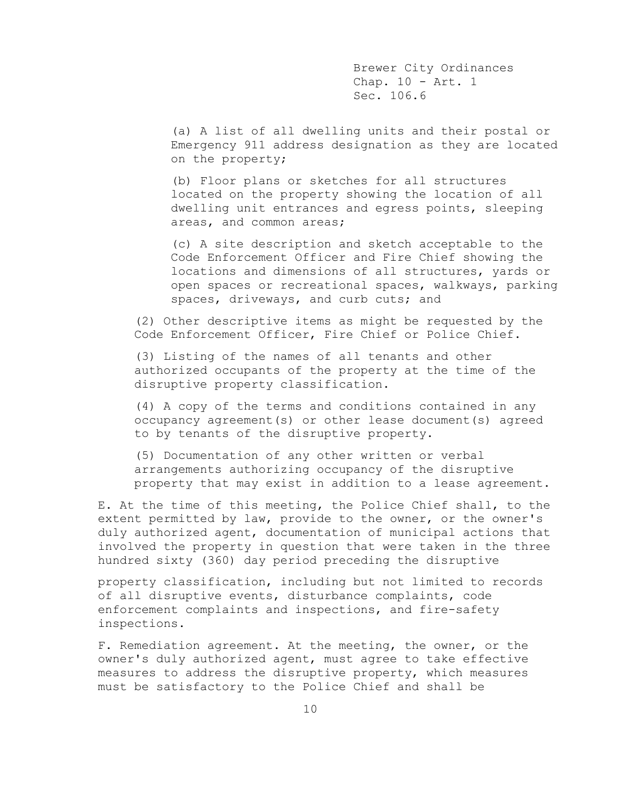(a) A list of all dwelling units and their postal or Emergency 911 address designation as they are located on the property;

(b) Floor plans or sketches for all structures located on the property showing the location of all dwelling unit entrances and egress points, sleeping areas, and common areas;

(c) A site description and sketch acceptable to the Code Enforcement Officer and Fire Chief showing the locations and dimensions of all structures, yards or open spaces or recreational spaces, walkways, parking spaces, driveways, and curb cuts; and

(2) Other descriptive items as might be requested by the Code Enforcement Officer, Fire Chief or Police Chief.

(3) Listing of the names of all tenants and other authorized occupants of the property at the time of the disruptive property classification.

(4) A copy of the terms and conditions contained in any occupancy agreement(s) or other lease document(s) agreed to by tenants of the disruptive property.

(5) Documentation of any other written or verbal arrangements authorizing occupancy of the disruptive property that may exist in addition to a lease agreement.

E. At the time of this meeting, the Police Chief shall, to the extent permitted by law, provide to the owner, or the owner's duly authorized agent, documentation of municipal actions that involved the property in question that were taken in the three hundred sixty (360) day period preceding the disruptive

property classification, including but not limited to records of all disruptive events, disturbance complaints, code enforcement complaints and inspections, and fire-safety inspections.

F. Remediation agreement. At the meeting, the owner, or the owner's duly authorized agent, must agree to take effective measures to address the disruptive property, which measures must be satisfactory to the Police Chief and shall be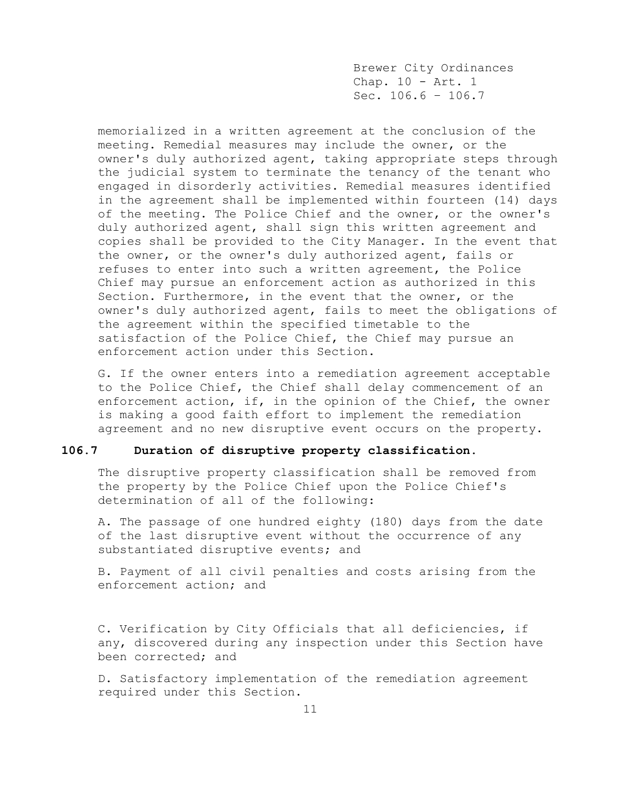memorialized in a written agreement at the conclusion of the meeting. Remedial measures may include the owner, or the owner's duly authorized agent, taking appropriate steps through the judicial system to terminate the tenancy of the tenant who engaged in disorderly activities. Remedial measures identified in the agreement shall be implemented within fourteen (14) days of the meeting. The Police Chief and the owner, or the owner's duly authorized agent, shall sign this written agreement and copies shall be provided to the City Manager. In the event that the owner, or the owner's duly authorized agent, fails or refuses to enter into such a written agreement, the Police Chief may pursue an enforcement action as authorized in this Section. Furthermore, in the event that the owner, or the owner's duly authorized agent, fails to meet the obligations of the agreement within the specified timetable to the satisfaction of the Police Chief, the Chief may pursue an enforcement action under this Section.

G. If the owner enters into a remediation agreement acceptable to the Police Chief, the Chief shall delay commencement of an enforcement action, if, in the opinion of the Chief, the owner is making a good faith effort to implement the remediation agreement and no new disruptive event occurs on the property.

### **106.7 Duration of disruptive property classification.**

The disruptive property classification shall be removed from the property by the Police Chief upon the Police Chief's determination of all of the following:

A. The passage of one hundred eighty (180) days from the date of the last disruptive event without the occurrence of any substantiated disruptive events; and

B. Payment of all civil penalties and costs arising from the enforcement action; and

C. Verification by City Officials that all deficiencies, if any, discovered during any inspection under this Section have been corrected; and

D. Satisfactory implementation of the remediation agreement required under this Section.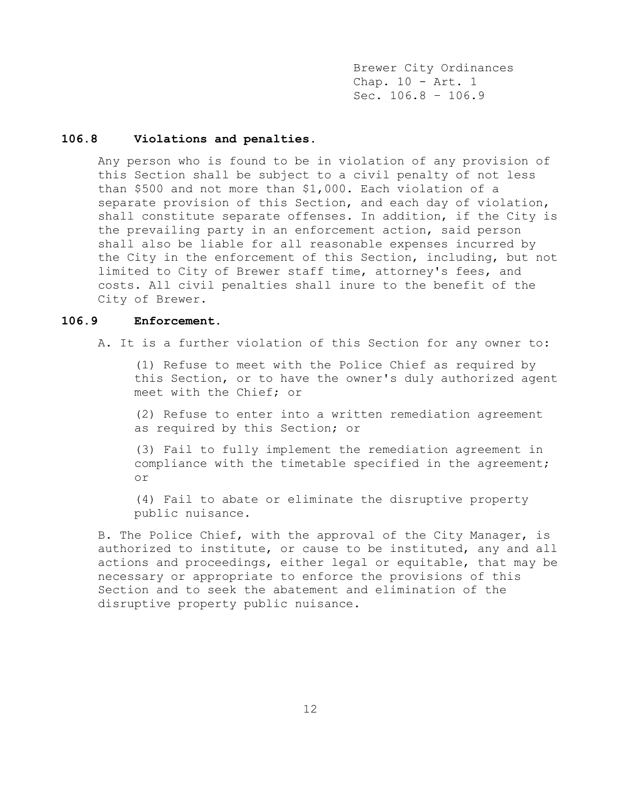### **106.8 Violations and penalties.**

Any person who is found to be in violation of any provision of this Section shall be subject to a civil penalty of not less than \$500 and not more than \$1,000. Each violation of a separate provision of this Section, and each day of violation, shall constitute separate offenses. In addition, if the City is the prevailing party in an enforcement action, said person shall also be liable for all reasonable expenses incurred by the City in the enforcement of this Section, including, but not limited to City of Brewer staff time, attorney's fees, and costs. All civil penalties shall inure to the benefit of the City of Brewer.

### **106.9 Enforcement.**

A. It is a further violation of this Section for any owner to:

(1) Refuse to meet with the Police Chief as required by this Section, or to have the owner's duly authorized agent meet with the Chief; or

(2) Refuse to enter into a written remediation agreement as required by this Section; or

(3) Fail to fully implement the remediation agreement in compliance with the timetable specified in the agreement; or

(4) Fail to abate or eliminate the disruptive property public nuisance.

B. The Police Chief, with the approval of the City Manager, is authorized to institute, or cause to be instituted, any and all actions and proceedings, either legal or equitable, that may be necessary or appropriate to enforce the provisions of this Section and to seek the abatement and elimination of the disruptive property public nuisance.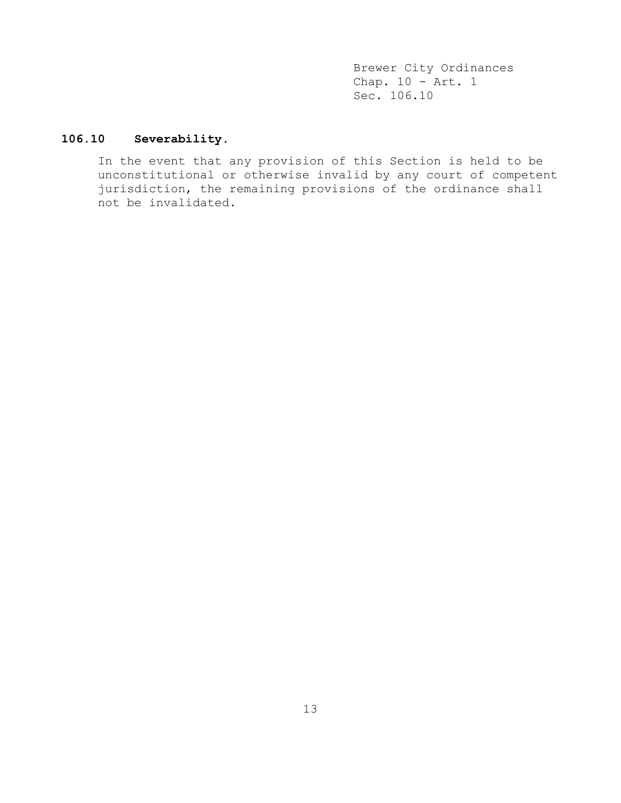# **106.10 Severability.**

In the event that any provision of this Section is held to be unconstitutional or otherwise invalid by any court of competent jurisdiction, the remaining provisions of the ordinance shall not be invalidated.